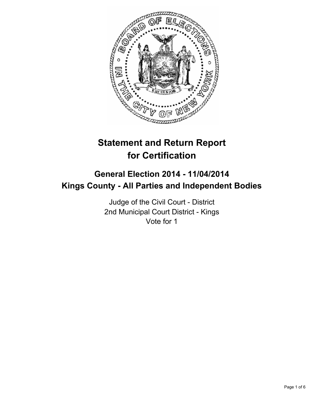

# **Statement and Return Report for Certification**

## **General Election 2014 - 11/04/2014 Kings County - All Parties and Independent Bodies**

Judge of the Civil Court - District 2nd Municipal Court District - Kings Vote for 1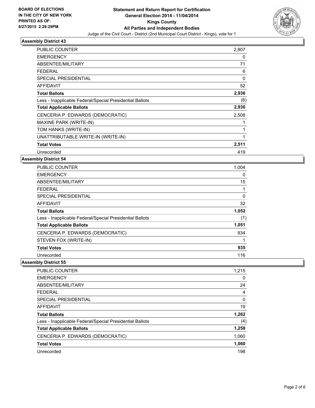

#### **Assembly District 43**

| PUBLIC COUNTER                                           | 2,807 |
|----------------------------------------------------------|-------|
| <b>EMERGENCY</b>                                         | 0     |
| ABSENTEE/MILITARY                                        | 71    |
| FEDERAL                                                  | 6     |
| <b>SPECIAL PRESIDENTIAL</b>                              | 0     |
| AFFIDAVIT                                                | 52    |
| <b>Total Ballots</b>                                     | 2,936 |
| Less - Inapplicable Federal/Special Presidential Ballots | (6)   |
| <b>Total Applicable Ballots</b>                          | 2,930 |
| CENCERIA P. EDWARDS (DEMOCRATIC)                         | 2,508 |
| MAXINE PARK (WRITE-IN)                                   |       |
| TOM HANKS (WRITE-IN)                                     | 1     |
| UNATTRIBUTABLE WRITE-IN (WRITE-IN)                       | 1     |
| <b>Total Votes</b>                                       | 2,511 |
| Unrecorded                                               | 419   |

#### **Assembly District 54**

| <b>PUBLIC COUNTER</b>                                    | 1,004 |
|----------------------------------------------------------|-------|
| <b>EMERGENCY</b>                                         | 0     |
| ABSENTEE/MILITARY                                        | 15    |
| <b>FEDERAL</b>                                           |       |
| <b>SPECIAL PRESIDENTIAL</b>                              | 0     |
| <b>AFFIDAVIT</b>                                         | 32    |
| <b>Total Ballots</b>                                     | 1,052 |
| Less - Inapplicable Federal/Special Presidential Ballots | (1)   |
| <b>Total Applicable Ballots</b>                          | 1,051 |
| CENCERIA P. EDWARDS (DEMOCRATIC)                         | 934   |
| STEVEN FOX (WRITE-IN)                                    |       |
| <b>Total Votes</b>                                       | 935   |
| Unrecorded                                               | 116   |

**Assembly District 55**

| <b>PUBLIC COUNTER</b>                                    | 1,215 |
|----------------------------------------------------------|-------|
| <b>EMERGENCY</b>                                         | 0     |
| ABSENTEE/MILITARY                                        | 24    |
| <b>FEDERAL</b>                                           | 4     |
| SPECIAL PRESIDENTIAL                                     | 0     |
| AFFIDAVIT                                                | 19    |
| <b>Total Ballots</b>                                     | 1,262 |
| Less - Inapplicable Federal/Special Presidential Ballots | (4)   |
| <b>Total Applicable Ballots</b>                          | 1,258 |
| CENCERIA P. EDWARDS (DEMOCRATIC)                         | 1,060 |
| <b>Total Votes</b>                                       | 1,060 |
|                                                          |       |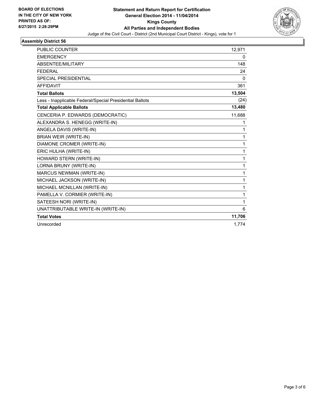

#### **Assembly District 56**

| <b>PUBLIC COUNTER</b>                                    | 12.971       |
|----------------------------------------------------------|--------------|
| <b>EMERGENCY</b>                                         | 0            |
| <b>ABSENTEE/MILITARY</b>                                 | 148          |
| <b>FEDERAL</b>                                           | 24           |
| <b>SPECIAL PRESIDENTIAL</b>                              | $\mathbf{0}$ |
| <b>AFFIDAVIT</b>                                         | 361          |
| <b>Total Ballots</b>                                     | 13,504       |
| Less - Inapplicable Federal/Special Presidential Ballots | (24)         |
| <b>Total Applicable Ballots</b>                          | 13,480       |
| CENCERIA P. EDWARDS (DEMOCRATIC)                         | 11,688       |
| ALEXANDRA S. HENEGG (WRITE-IN)                           | 1            |
| ANGELA DAVIS (WRITE-IN)                                  | 1            |
| BRIAN WEIR (WRITE-IN)                                    | 1            |
| DIAMONE CROMER (WRITE-IN)                                | 1            |
| ERIC HULHA (WRITE-IN)                                    | 1            |
| HOWARD STERN (WRITE-IN)                                  | 1            |
| LORNA BRUNY (WRITE-IN)                                   | 1            |
| <b>MARCUS NEWMAN (WRITE-IN)</b>                          | 1            |
| MICHAEL JACKSON (WRITE-IN)                               | 1            |
| MICHAEL MCNILLAN (WRITE-IN)                              | 1            |
| PAMELLA V. CORMIER (WRITE-IN)                            | 1            |
| SATEESH NORI (WRITE-IN)                                  | 1            |
| UNATTRIBUTABLE WRITE-IN (WRITE-IN)                       | 6            |
| <b>Total Votes</b>                                       | 11,706       |
| Unrecorded                                               | 1,774        |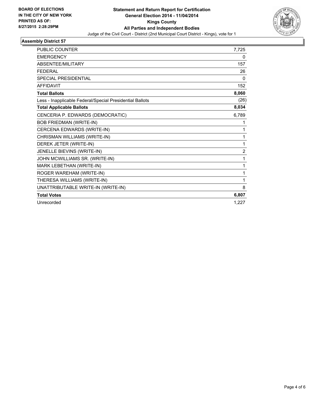

#### **Assembly District 57**

| <b>PUBLIC COUNTER</b>                                    | 7,725          |
|----------------------------------------------------------|----------------|
| <b>EMERGENCY</b>                                         | 0              |
| <b>ABSENTEE/MILITARY</b>                                 | 157            |
| <b>FEDERAL</b>                                           | 26             |
| <b>SPECIAL PRESIDENTIAL</b>                              | 0              |
| <b>AFFIDAVIT</b>                                         | 152            |
| <b>Total Ballots</b>                                     | 8,060          |
| Less - Inapplicable Federal/Special Presidential Ballots | (26)           |
| <b>Total Applicable Ballots</b>                          | 8,034          |
| CENCERIA P. EDWARDS (DEMOCRATIC)                         | 6,789          |
| <b>BOB FRIEDMAN (WRITE-IN)</b>                           | 1              |
| CERCENA EDWARDS (WRITE-IN)                               | 1              |
| CHRISMAN WILLIAMS (WRITE-IN)                             | 1              |
| DEREK JETER (WRITE-IN)                                   | 1              |
| JENELLE BIEVINS (WRITE-IN)                               | $\overline{2}$ |
| JOHN MCWILLIAMS SR. (WRITE-IN)                           | 1              |
| MARK LEBETHAN (WRITE-IN)                                 | 1              |
| ROGER WAREHAM (WRITE-IN)                                 | 1              |
| THERESA WILLIAMS (WRITE-IN)                              | 1              |
| UNATTRIBUTABLE WRITE-IN (WRITE-IN)                       | 8              |
| <b>Total Votes</b>                                       | 6,807          |
| Unrecorded                                               | 1,227          |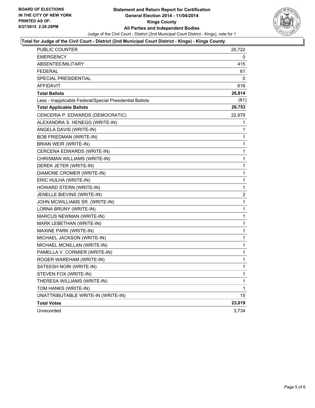

#### **Total for Judge of the Civil Court - District (2nd Municipal Court District - Kings) - Kings County**

| PUBLIC COUNTER                                           | 25,722         |
|----------------------------------------------------------|----------------|
| <b>EMERGENCY</b>                                         | 0              |
| <b>ABSENTEE/MILITARY</b>                                 | 415            |
| <b>FEDERAL</b>                                           | 61             |
| SPECIAL PRESIDENTIAL                                     | 0              |
| <b>AFFIDAVIT</b>                                         | 616            |
| <b>Total Ballots</b>                                     | 26,814         |
| Less - Inapplicable Federal/Special Presidential Ballots | (61)           |
| <b>Total Applicable Ballots</b>                          | 26,753         |
| CENCERIA P. EDWARDS (DEMOCRATIC)                         | 22,979         |
| ALEXANDRA S. HENEGG (WRITE-IN)                           | 1              |
| ANGELA DAVIS (WRITE-IN)                                  | 1              |
| BOB FRIEDMAN (WRITE-IN)                                  | 1              |
| BRIAN WEIR (WRITE-IN)                                    | 1              |
| CERCENA EDWARDS (WRITE-IN)                               | 1              |
| CHRISMAN WILLIAMS (WRITE-IN)                             | 1              |
| DEREK JETER (WRITE-IN)                                   | 1              |
| DIAMONE CROMER (WRITE-IN)                                | 1              |
| ERIC HULHA (WRITE-IN)                                    | 1              |
| HOWARD STERN (WRITE-IN)                                  | 1              |
| JENELLE BIEVINS (WRITE-IN)                               | $\overline{2}$ |
| JOHN MCWILLIAMS SR. (WRITE-IN)                           | $\mathbf{1}$   |
| LORNA BRUNY (WRITE-IN)                                   | 1              |
| MARCUS NEWMAN (WRITE-IN)                                 | 1              |
| MARK LEBETHAN (WRITE-IN)                                 | 1              |
| MAXINE PARK (WRITE-IN)                                   | 1              |
| MICHAEL JACKSON (WRITE-IN)                               | 1              |
| MICHAEL MCNILLAN (WRITE-IN)                              | $\mathbf 1$    |
| PAMELLA V. CORMIER (WRITE-IN)                            | 1              |
| ROGER WAREHAM (WRITE-IN)                                 | $\mathbf 1$    |
| SATEESH NORI (WRITE-IN)                                  | 1              |
| STEVEN FOX (WRITE-IN)                                    | 1              |
| THERESA WILLIAMS (WRITE-IN)                              | 1              |
| TOM HANKS (WRITE-IN)                                     | 1              |
| UNATTRIBUTABLE WRITE-IN (WRITE-IN)                       | 15             |
| <b>Total Votes</b>                                       | 23,019         |
| Unrecorded                                               | 3,734          |